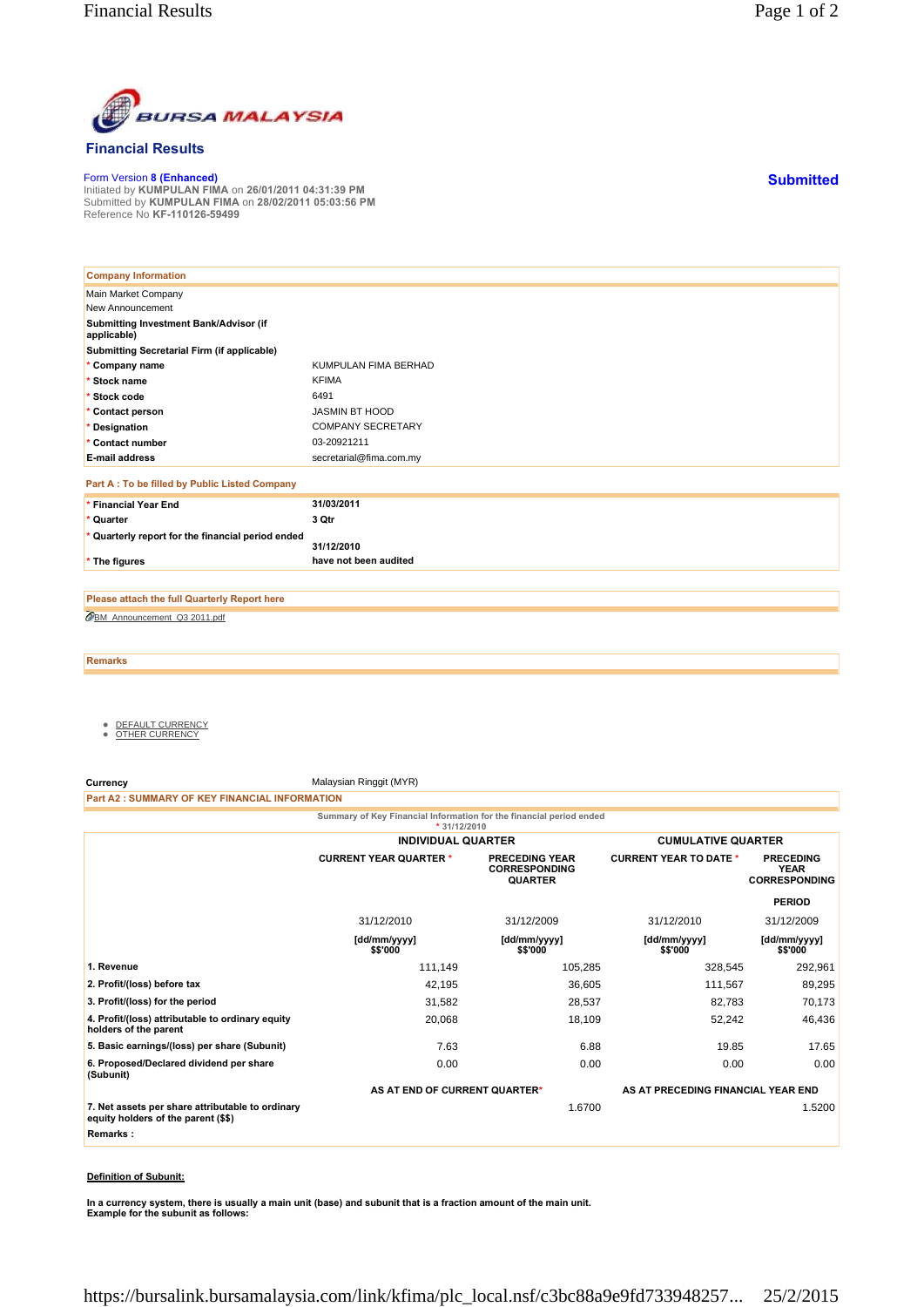

## **Financial Results**

Form Version **8 (Enhanced)** Initiated by **KUMPULAN FIMA** on **26/01/2011 04:31:39 PM** Submitted by **KUMPULAN FIMA** on **28/02/2011 05:03:56 PM** Reference No **KF-110126-59499**

| <b>Company Information</b>                            |                          |
|-------------------------------------------------------|--------------------------|
| Main Market Company                                   |                          |
| New Announcement                                      |                          |
| Submitting Investment Bank/Advisor (if<br>applicable) |                          |
| Submitting Secretarial Firm (if applicable)           |                          |
| * Company name                                        | KUMPULAN FIMA BERHAD     |
| * Stock name                                          | <b>KFIMA</b>             |
| * Stock code                                          | 6491                     |
| * Contact person                                      | <b>JASMIN BT HOOD</b>    |
| * Designation                                         | <b>COMPANY SECRETARY</b> |
| * Contact number                                      | 03-20921211              |
| <b>E-mail address</b>                                 | secretarial@fima.com.my  |
| Part A : To be filled by Public Listed Company        |                          |
| * Financial Year End                                  | 31/03/2011               |
| * Quarter                                             | 3 Qtr                    |
| * Quarterly report for the financial period ended     | 31/12/2010               |
| * The figures                                         | have not been audited    |

BM\_Announcement\_Q3 2011.pdf **Please attach the full Quarterly Report here**

**Remarks**

- <u>DEFAULT CURRENCY</u><br>● <u>OTHER CURRENCY</u>
- 

**Currency** Malaysian Ringgit (MYR)

**Part A2 : SUMMARY OF KEY FINANCIAL INFORMATION**

**Summary of Key Financial Information for the financial period ended \* 31/12/2010**

|                                                                                         | <b>INDIVIDUAL QUARTER</b>     |                                                                 | <b>CUMULATIVE QUARTER</b>          |                                                         |
|-----------------------------------------------------------------------------------------|-------------------------------|-----------------------------------------------------------------|------------------------------------|---------------------------------------------------------|
|                                                                                         | <b>CURRENT YEAR QUARTER *</b> | <b>PRECEDING YEAR</b><br><b>CORRESPONDING</b><br><b>QUARTER</b> | <b>CURRENT YEAR TO DATE *</b>      | <b>PRECEDING</b><br><b>YEAR</b><br><b>CORRESPONDING</b> |
|                                                                                         |                               |                                                                 |                                    | <b>PERIOD</b>                                           |
|                                                                                         | 31/12/2010                    | 31/12/2009                                                      | 31/12/2010                         | 31/12/2009                                              |
|                                                                                         | [dd/mm/yyyy]<br>\$\$'000      | [dd/mm/yyyy]<br>\$\$'000                                        | [dd/mm/yyyy]<br>\$\$'000           | [dd/mm/yyyy]<br>\$\$'000                                |
| 1. Revenue                                                                              | 111,149                       | 105,285                                                         | 328,545                            | 292,961                                                 |
| 2. Profit/(loss) before tax                                                             | 42,195                        | 36,605                                                          | 111,567                            | 89,295                                                  |
| 3. Profit/(loss) for the period                                                         | 31,582                        | 28,537                                                          | 82,783                             | 70,173                                                  |
| 4. Profit/(loss) attributable to ordinary equity<br>holders of the parent               | 20,068                        | 18,109                                                          | 52,242                             | 46,436                                                  |
| 5. Basic earnings/(loss) per share (Subunit)                                            | 7.63                          | 6.88                                                            | 19.85                              | 17.65                                                   |
| 6. Proposed/Declared dividend per share<br>(Subunit)                                    | 0.00                          | 0.00                                                            | 0.00                               | 0.00                                                    |
|                                                                                         | AS AT END OF CURRENT QUARTER* |                                                                 | AS AT PRECEDING FINANCIAL YEAR END |                                                         |
| 7. Net assets per share attributable to ordinary<br>equity holders of the parent (\$\$) |                               | 1.6700                                                          |                                    | 1.5200                                                  |
| Remarks:                                                                                |                               |                                                                 |                                    |                                                         |

**Definition of Subunit:**

**In a currency system, there is usually a main unit (base) and subunit that is a fraction amount of the main unit. Example for the subunit as follows:**

**Submitted**